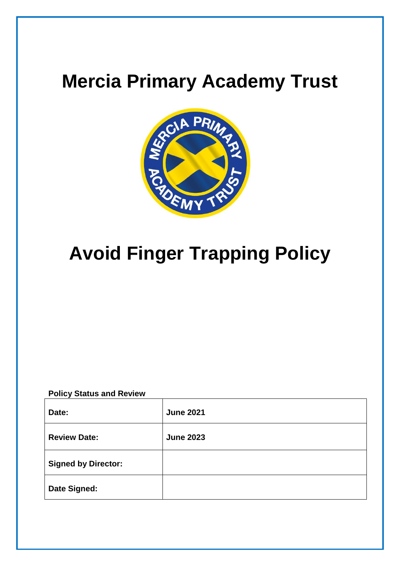## **Mercia Primary Academy Trust**



# **Avoid Finger Trapping Policy**

### **Policy Status and Review**

| Date:                      | <b>June 2021</b> |
|----------------------------|------------------|
| <b>Review Date:</b>        | <b>June 2023</b> |
| <b>Signed by Director:</b> |                  |
| <b>Date Signed:</b>        |                  |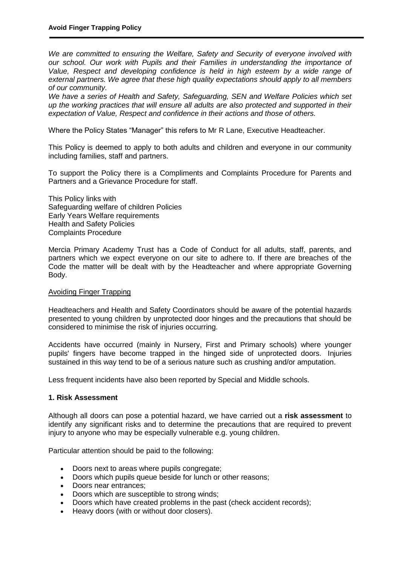*We are committed to ensuring the Welfare, Safety and Security of everyone involved with our school. Our work with Pupils and their Families in understanding the importance of Value, Respect and developing confidence is held in high esteem by a wide range of external partners. We agree that these high quality expectations should apply to all members of our community.*

*We have a series of Health and Safety, Safeguarding, SEN and Welfare Policies which set up the working practices that will ensure all adults are also protected and supported in their expectation of Value, Respect and confidence in their actions and those of others.*

Where the Policy States "Manager" this refers to Mr R Lane, Executive Headteacher.

This Policy is deemed to apply to both adults and children and everyone in our community including families, staff and partners.

To support the Policy there is a Compliments and Complaints Procedure for Parents and Partners and a Grievance Procedure for staff.

This Policy links with Safeguarding welfare of children Policies Early Years Welfare requirements Health and Safety Policies Complaints Procedure

Mercia Primary Academy Trust has a Code of Conduct for all adults, staff, parents, and partners which we expect everyone on our site to adhere to. If there are breaches of the Code the matter will be dealt with by the Headteacher and where appropriate Governing Body.

#### Avoiding Finger Trapping

Headteachers and Health and Safety Coordinators should be aware of the potential hazards presented to young children by unprotected door hinges and the precautions that should be considered to minimise the risk of injuries occurring.

Accidents have occurred (mainly in Nursery, First and Primary schools) where younger pupils' fingers have become trapped in the hinged side of unprotected doors. Injuries sustained in this way tend to be of a serious nature such as crushing and/or amputation.

Less frequent incidents have also been reported by Special and Middle schools.

#### **1. Risk Assessment**

Although all doors can pose a potential hazard, we have carried out a **risk assessment** to identify any significant risks and to determine the precautions that are required to prevent injury to anyone who may be especially vulnerable e.g. young children.

Particular attention should be paid to the following:

- Doors next to areas where pupils congregate;
- Doors which pupils queue beside for lunch or other reasons;
- Doors near entrances:
- Doors which are susceptible to strong winds;
- Doors which have created problems in the past (check accident records);
- Heavy doors (with or without door closers).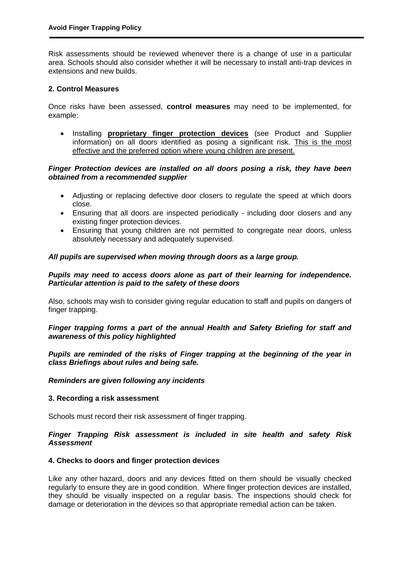Risk assessments should be reviewed whenever there is a change of use in a particular area. Schools should also consider whether it will be necessary to install anti-trap devices in extensions and new builds.

#### **2. Control Measures**

Once risks have been assessed, **control measures** may need to be implemented, for example:

 Installing **proprietary finger protection devices** (see Product and Supplier information) on all doors identified as posing a significant risk. This is the most effective and the preferred option where young children are present.

#### *Finger Protection devices are installed on all doors posing a risk, they have been obtained from a recommended supplier*

- Adjusting or replacing defective door closers to regulate the speed at which doors close.
- Ensuring that all doors are inspected periodically including door closers and any existing finger protection devices.
- Ensuring that young children are not permitted to congregate near doors, unless absolutely necessary and adequately supervised.

#### *All pupils are supervised when moving through doors as a large group.*

#### *Pupils may need to access doors alone as part of their learning for independence. Particular attention is paid to the safety of these doors*

Also, schools may wish to consider giving regular education to staff and pupils on dangers of finger trapping.

#### *Finger trapping forms a part of the annual Health and Safety Briefing for staff and awareness of this policy highlighted*

*Pupils are reminded of the risks of Finger trapping at the beginning of the year in class Briefings about rules and being safe.*

#### *Reminders are given following any incidents*

#### **3. Recording a risk assessment**

Schools must record their risk assessment of finger trapping.

#### *Finger Trapping Risk assessment is included in site health and safety Risk Assessment*

#### **4. Checks to doors and finger protection devices**

Like any other hazard, doors and any devices fitted on them should be visually checked regularly to ensure they are in good condition. Where finger protection devices are installed, they should be visually inspected on a regular basis. The inspections should check for damage or deterioration in the devices so that appropriate remedial action can be taken.